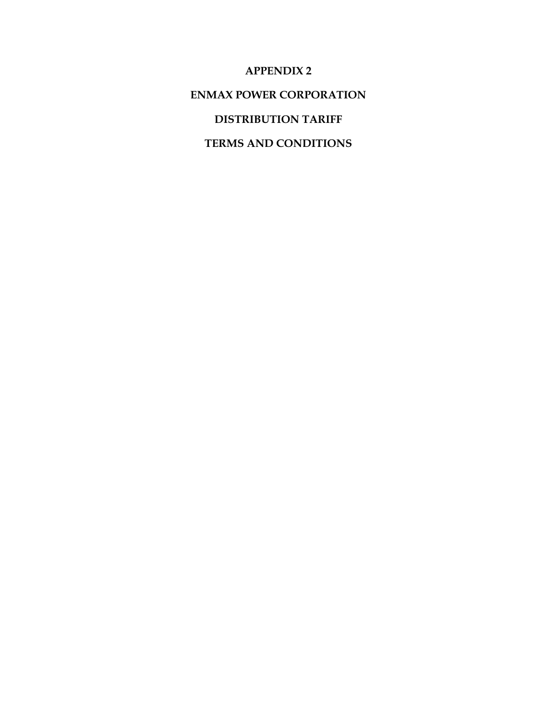**APPENDIX 2** 

**ENMAX POWER CORPORATION** 

**DISTRIBUTION TARIFF** 

**TERMS AND CONDITIONS**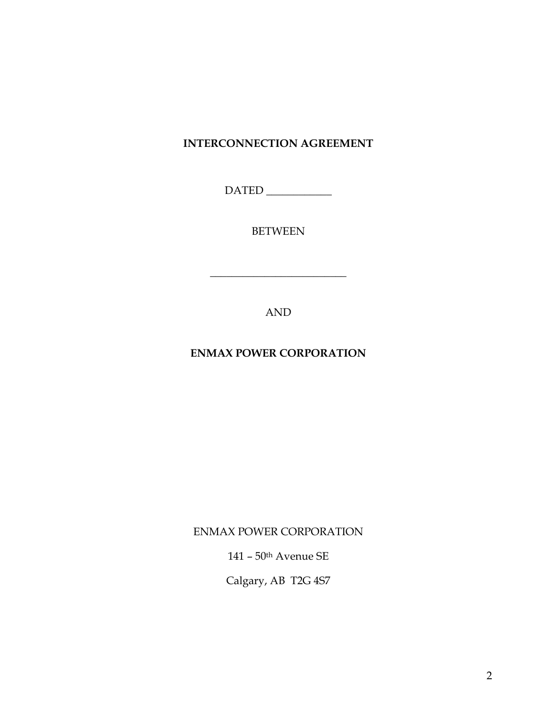# **INTERCONNECTION AGREEMENT**

DATED \_\_\_\_\_\_\_\_\_\_\_\_

BETWEEN

**\_\_\_\_\_\_\_\_\_\_\_\_\_\_\_\_\_\_\_\_\_\_\_\_\_** 

AND

**ENMAX POWER CORPORATION** 

ENMAX POWER CORPORATION

141 – 50th Avenue SE

Calgary, AB T2G 4S7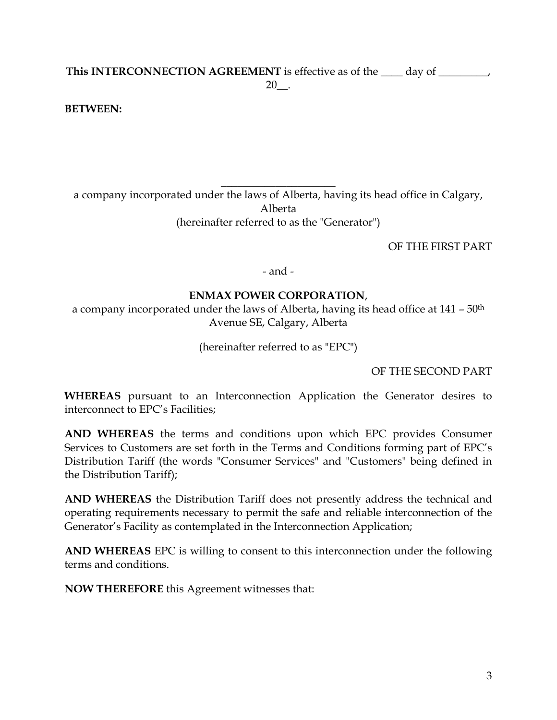## **This INTERCONNECTION AGREEMENT** is effective as of the \_\_\_\_ day of \_\_\_\_\_\_\_\_\_, 20\_\_.

### **BETWEEN:**

**\_\_\_\_\_\_\_\_\_\_\_\_\_\_\_\_\_\_\_\_\_**  a company incorporated under the laws of Alberta, having its head office in Calgary, Alberta (hereinafter referred to as the "Generator")

OF THE FIRST PART

- and -

#### **ENMAX POWER CORPORATION**,

a company incorporated under the laws of Alberta, having its head office at 141 – 50<sup>th</sup> Avenue SE, Calgary, Alberta

(hereinafter referred to as "EPC")

OF THE SECOND PART

**WHEREAS** pursuant to an Interconnection Application the Generator desires to interconnect to EPC's Facilities;

**AND WHEREAS** the terms and conditions upon which EPC provides Consumer Services to Customers are set forth in the Terms and Conditions forming part of EPC's Distribution Tariff (the words "Consumer Services" and "Customers" being defined in the Distribution Tariff);

**AND WHEREAS** the Distribution Tariff does not presently address the technical and operating requirements necessary to permit the safe and reliable interconnection of the Generator's Facility as contemplated in the Interconnection Application;

**AND WHEREAS** EPC is willing to consent to this interconnection under the following terms and conditions.

**NOW THEREFORE** this Agreement witnesses that: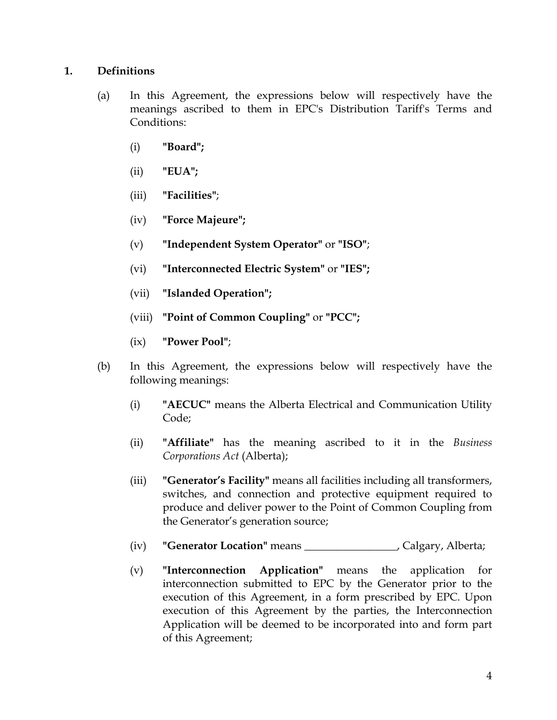#### **1. Definitions**

- (a) In this Agreement, the expressions below will respectively have the meanings ascribed to them in EPC's Distribution Tariff's Terms and Conditions:
	- (i) **"Board";**
	- (ii) **"EUA";**
	- (iii) **"Facilities"**;
	- (iv) **"Force Majeure";**
	- (v) **"Independent System Operator"** or **"ISO"**;
	- (vi) **"Interconnected Electric System"** or **"IES";**
	- (vii) **"Islanded Operation";**
	- (viii) **"Point of Common Coupling"** or **"PCC";**
	- (ix) **"Power Pool"**;
- (b) In this Agreement, the expressions below will respectively have the following meanings:
	- (i) **"AECUC"** means the Alberta Electrical and Communication Utility Code;
	- (ii) **"Affiliate"** has the meaning ascribed to it in the *Business Corporations Act* (Alberta);
	- (iii) **"Generator's Facility"** means all facilities including all transformers, switches, and connection and protective equipment required to produce and deliver power to the Point of Common Coupling from the Generator's generation source;
	- (iv) **"Generator Location"** means \_\_\_\_\_\_\_\_\_\_\_\_\_\_\_\_\_, Calgary, Alberta;
	- (v) **"Interconnection Application"** means the application for interconnection submitted to EPC by the Generator prior to the execution of this Agreement, in a form prescribed by EPC. Upon execution of this Agreement by the parties, the Interconnection Application will be deemed to be incorporated into and form part of this Agreement;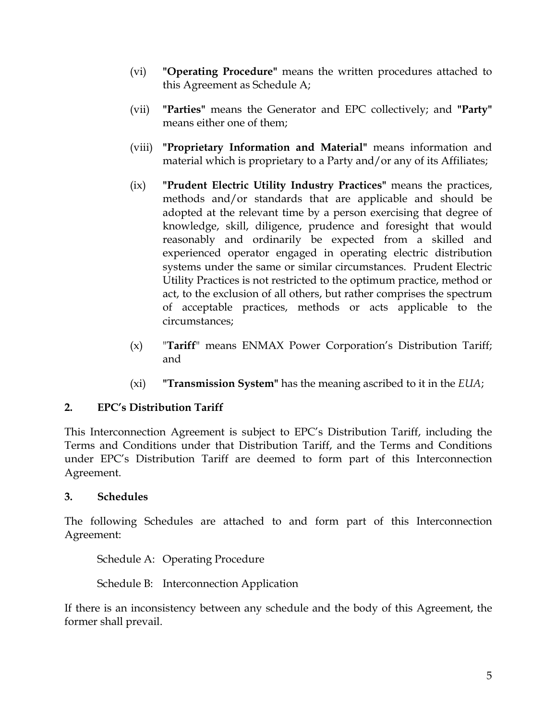- (vi) **"Operating Procedure"** means the written procedures attached to this Agreement as Schedule A;
- (vii) **"Parties"** means the Generator and EPC collectively; and **"Party"** means either one of them;
- (viii) **"Proprietary Information and Material"** means information and material which is proprietary to a Party and/or any of its Affiliates;
- (ix) **"Prudent Electric Utility Industry Practices"** means the practices, methods and/or standards that are applicable and should be adopted at the relevant time by a person exercising that degree of knowledge, skill, diligence, prudence and foresight that would reasonably and ordinarily be expected from a skilled and experienced operator engaged in operating electric distribution systems under the same or similar circumstances. Prudent Electric Utility Practices is not restricted to the optimum practice, method or act, to the exclusion of all others, but rather comprises the spectrum of acceptable practices, methods or acts applicable to the circumstances;
- (x) "**Tariff**" means ENMAX Power Corporation's Distribution Tariff; and
- (xi) **"Transmission System"** has the meaning ascribed to it in the *EUA*;

## **2. EPC's Distribution Tariff**

This Interconnection Agreement is subject to EPC's Distribution Tariff, including the Terms and Conditions under that Distribution Tariff, and the Terms and Conditions under EPC's Distribution Tariff are deemed to form part of this Interconnection Agreement.

## **3. Schedules**

The following Schedules are attached to and form part of this Interconnection Agreement:

Schedule A: Operating Procedure

Schedule B: Interconnection Application

If there is an inconsistency between any schedule and the body of this Agreement, the former shall prevail.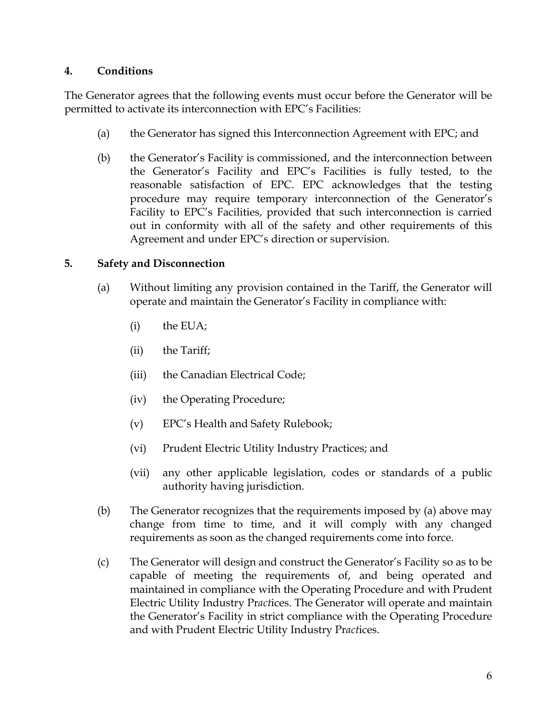#### **4. Conditions**

The Generator agrees that the following events must occur before the Generator will be permitted to activate its interconnection with EPC's Facilities:

- (a) the Generator has signed this Interconnection Agreement with EPC; and
- (b) the Generator's Facility is commissioned, and the interconnection between the Generator's Facility and EPC's Facilities is fully tested, to the reasonable satisfaction of EPC. EPC acknowledges that the testing procedure may require temporary interconnection of the Generator's Facility to EPC's Facilities, provided that such interconnection is carried out in conformity with all of the safety and other requirements of this Agreement and under EPC's direction or supervision.

## **5. Safety and Disconnection**

- (a) Without limiting any provision contained in the Tariff, the Generator will operate and maintain the Generator's Facility in compliance with:
	- (i) the EUA;
	- (ii) the Tariff;
	- (iii) the Canadian Electrical Code;
	- (iv) the Operating Procedure;
	- (v) EPC's Health and Safety Rulebook;
	- (vi) Prudent Electric Utility Industry Practices; and
	- (vii) any other applicable legislation, codes or standards of a public authority having jurisdiction.
- (b) The Generator recognizes that the requirements imposed by (a) above may change from time to time, and it will comply with any changed requirements as soon as the changed requirements come into force.
- (c) The Generator will design and construct the Generator's Facility so as to be capable of meeting the requirements of, and being operated and maintained in compliance with the Operating Procedure and with Prudent Electric Utility Industry Pr*act*ices. The Generator will operate and maintain the Generator's Facility in strict compliance with the Operating Procedure and with Prudent Electric Utility Industry Pr*act*ices.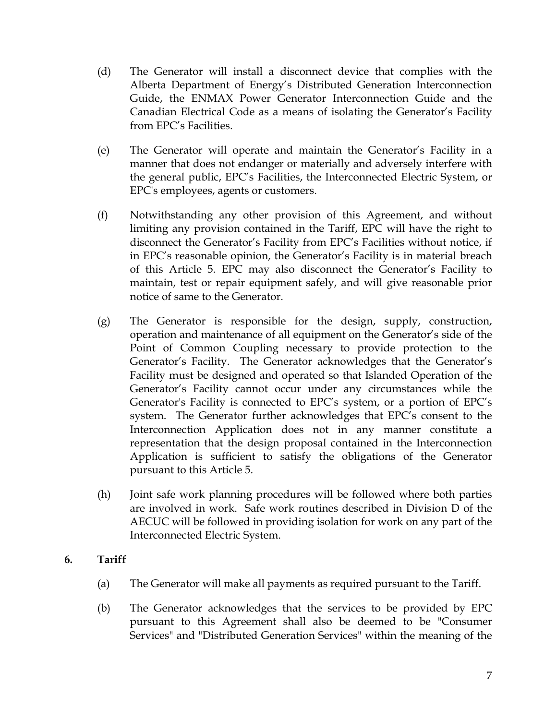- (d) The Generator will install a disconnect device that complies with the Alberta Department of Energy's Distributed Generation Interconnection Guide, the ENMAX Power Generator Interconnection Guide and the Canadian Electrical Code as a means of isolating the Generator's Facility from EPC's Facilities.
- (e) The Generator will operate and maintain the Generator's Facility in a manner that does not endanger or materially and adversely interfere with the general public, EPC's Facilities, the Interconnected Electric System, or EPC's employees, agents or customers.
- (f) Notwithstanding any other provision of this Agreement, and without limiting any provision contained in the Tariff, EPC will have the right to disconnect the Generator's Facility from EPC's Facilities without notice, if in EPC's reasonable opinion, the Generator's Facility is in material breach of this Article 5. EPC may also disconnect the Generator's Facility to maintain, test or repair equipment safely, and will give reasonable prior notice of same to the Generator.
- (g) The Generator is responsible for the design, supply, construction, operation and maintenance of all equipment on the Generator's side of the Point of Common Coupling necessary to provide protection to the Generator's Facility. The Generator acknowledges that the Generator's Facility must be designed and operated so that Islanded Operation of the Generator's Facility cannot occur under any circumstances while the Generator's Facility is connected to EPC's system, or a portion of EPC's system. The Generator further acknowledges that EPC's consent to the Interconnection Application does not in any manner constitute a representation that the design proposal contained in the Interconnection Application is sufficient to satisfy the obligations of the Generator pursuant to this Article 5.
- (h) Joint safe work planning procedures will be followed where both parties are involved in work. Safe work routines described in Division D of the AECUC will be followed in providing isolation for work on any part of the Interconnected Electric System.

## **6. Tariff**

- (a) The Generator will make all payments as required pursuant to the Tariff.
- (b) The Generator acknowledges that the services to be provided by EPC pursuant to this Agreement shall also be deemed to be "Consumer Services" and "Distributed Generation Services" within the meaning of the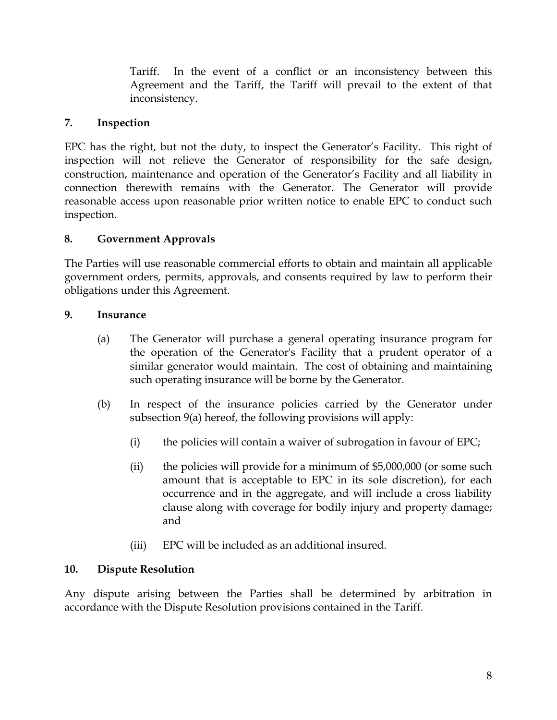Tariff. In the event of a conflict or an inconsistency between this Agreement and the Tariff, the Tariff will prevail to the extent of that inconsistency.

## **7. Inspection**

EPC has the right, but not the duty, to inspect the Generator's Facility. This right of inspection will not relieve the Generator of responsibility for the safe design, construction, maintenance and operation of the Generator's Facility and all liability in connection therewith remains with the Generator. The Generator will provide reasonable access upon reasonable prior written notice to enable EPC to conduct such inspection.

## **8. Government Approvals**

The Parties will use reasonable commercial efforts to obtain and maintain all applicable government orders, permits, approvals, and consents required by law to perform their obligations under this Agreement.

## **9. Insurance**

- (a) The Generator will purchase a general operating insurance program for the operation of the Generator's Facility that a prudent operator of a similar generator would maintain. The cost of obtaining and maintaining such operating insurance will be borne by the Generator.
- (b) In respect of the insurance policies carried by the Generator under subsection 9(a) hereof, the following provisions will apply:
	- (i) the policies will contain a waiver of subrogation in favour of  $EPC$ ;
	- (ii) the policies will provide for a minimum of \$5,000,000 (or some such amount that is acceptable to EPC in its sole discretion), for each occurrence and in the aggregate, and will include a cross liability clause along with coverage for bodily injury and property damage; and
	- (iii) EPC will be included as an additional insured.

## **10. Dispute Resolution**

Any dispute arising between the Parties shall be determined by arbitration in accordance with the Dispute Resolution provisions contained in the Tariff.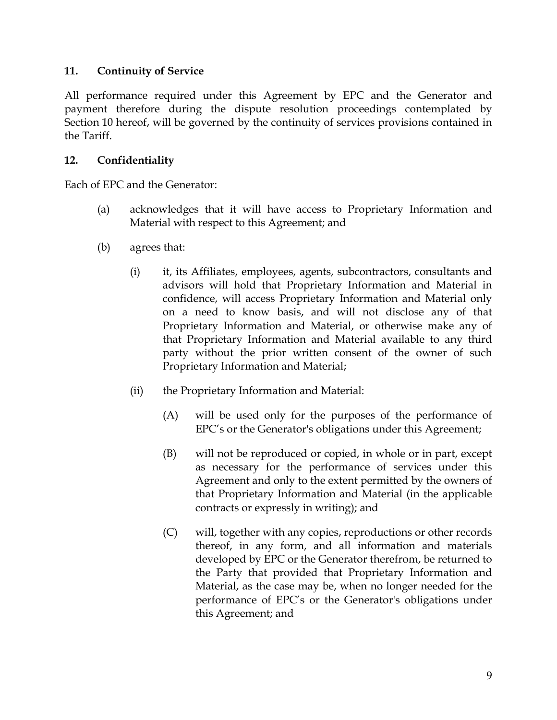## **11. Continuity of Service**

All performance required under this Agreement by EPC and the Generator and payment therefore during the dispute resolution proceedings contemplated by Section 10 hereof, will be governed by the continuity of services provisions contained in the Tariff.

### **12. Confidentiality**

Each of EPC and the Generator:

- (a) acknowledges that it will have access to Proprietary Information and Material with respect to this Agreement; and
- (b) agrees that:
	- (i) it, its Affiliates, employees, agents, subcontractors, consultants and advisors will hold that Proprietary Information and Material in confidence, will access Proprietary Information and Material only on a need to know basis, and will not disclose any of that Proprietary Information and Material, or otherwise make any of that Proprietary Information and Material available to any third party without the prior written consent of the owner of such Proprietary Information and Material;
	- (ii) the Proprietary Information and Material:
		- (A) will be used only for the purposes of the performance of EPC's or the Generator's obligations under this Agreement;
		- (B) will not be reproduced or copied, in whole or in part, except as necessary for the performance of services under this Agreement and only to the extent permitted by the owners of that Proprietary Information and Material (in the applicable contracts or expressly in writing); and
		- (C) will, together with any copies, reproductions or other records thereof, in any form, and all information and materials developed by EPC or the Generator therefrom, be returned to the Party that provided that Proprietary Information and Material, as the case may be, when no longer needed for the performance of EPC's or the Generator's obligations under this Agreement; and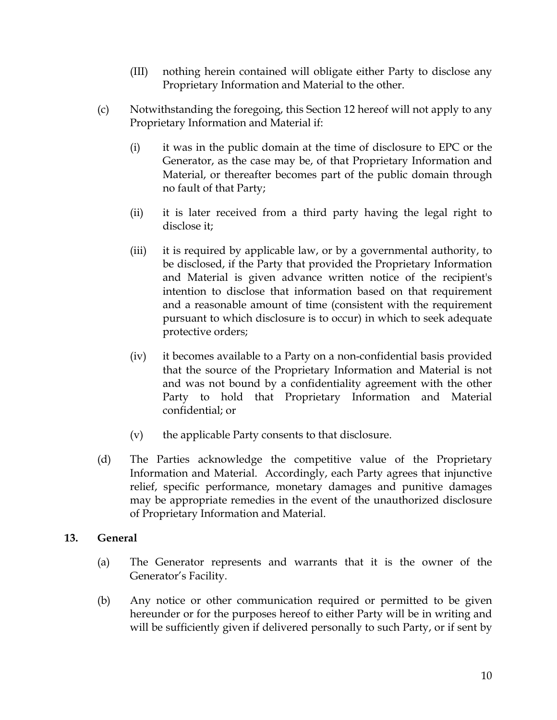- (III) nothing herein contained will obligate either Party to disclose any Proprietary Information and Material to the other.
- (c) Notwithstanding the foregoing, this Section 12 hereof will not apply to any Proprietary Information and Material if:
	- (i) it was in the public domain at the time of disclosure to EPC or the Generator, as the case may be, of that Proprietary Information and Material, or thereafter becomes part of the public domain through no fault of that Party;
	- (ii) it is later received from a third party having the legal right to disclose it;
	- (iii) it is required by applicable law, or by a governmental authority, to be disclosed, if the Party that provided the Proprietary Information and Material is given advance written notice of the recipient's intention to disclose that information based on that requirement and a reasonable amount of time (consistent with the requirement pursuant to which disclosure is to occur) in which to seek adequate protective orders;
	- (iv) it becomes available to a Party on a non-confidential basis provided that the source of the Proprietary Information and Material is not and was not bound by a confidentiality agreement with the other Party to hold that Proprietary Information and Material confidential; or
	- (v) the applicable Party consents to that disclosure.
- (d) The Parties acknowledge the competitive value of the Proprietary Information and Material. Accordingly, each Party agrees that injunctive relief, specific performance, monetary damages and punitive damages may be appropriate remedies in the event of the unauthorized disclosure of Proprietary Information and Material.

## **13. General**

- (a) The Generator represents and warrants that it is the owner of the Generator's Facility.
- (b) Any notice or other communication required or permitted to be given hereunder or for the purposes hereof to either Party will be in writing and will be sufficiently given if delivered personally to such Party, or if sent by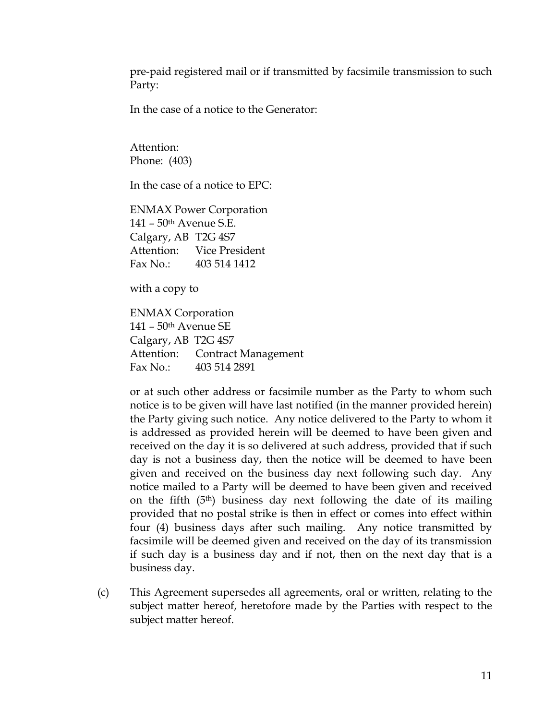pre-paid registered mail or if transmitted by facsimile transmission to such Party:

In the case of a notice to the Generator:

Attention: Phone: (403)

In the case of a notice to EPC:

ENMAX Power Corporation 141 – 50th Avenue S.E. Calgary, AB T2G 4S7 Attention: Vice President Fax No.: 403 514 1412

with a copy to

ENMAX Corporation 141 – 50th Avenue SE Calgary, AB T2G 4S7 Attention: Contract Management Fax No.: 403 514 2891

or at such other address or facsimile number as the Party to whom such notice is to be given will have last notified (in the manner provided herein) the Party giving such notice. Any notice delivered to the Party to whom it is addressed as provided herein will be deemed to have been given and received on the day it is so delivered at such address, provided that if such day is not a business day, then the notice will be deemed to have been given and received on the business day next following such day. Any notice mailed to a Party will be deemed to have been given and received on the fifth (5th) business day next following the date of its mailing provided that no postal strike is then in effect or comes into effect within four (4) business days after such mailing. Any notice transmitted by facsimile will be deemed given and received on the day of its transmission if such day is a business day and if not, then on the next day that is a business day.

(c) This Agreement supersedes all agreements, oral or written, relating to the subject matter hereof, heretofore made by the Parties with respect to the subject matter hereof.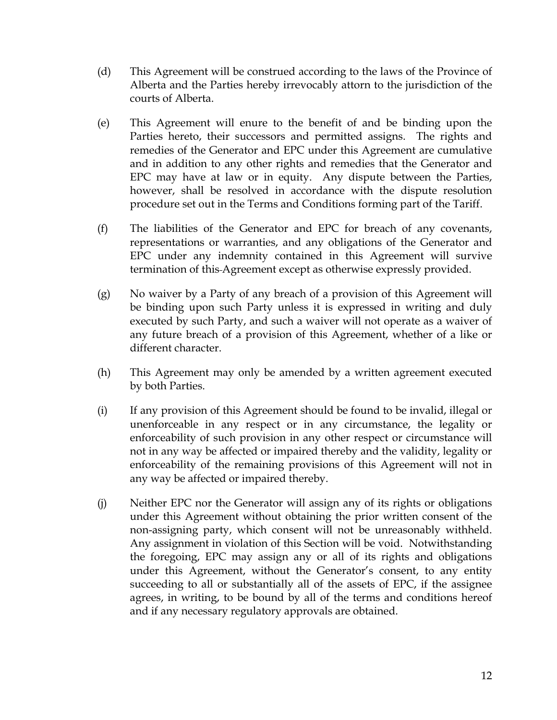- (d) This Agreement will be construed according to the laws of the Province of Alberta and the Parties hereby irrevocably attorn to the jurisdiction of the courts of Alberta.
- (e) This Agreement will enure to the benefit of and be binding upon the Parties hereto, their successors and permitted assigns. The rights and remedies of the Generator and EPC under this Agreement are cumulative and in addition to any other rights and remedies that the Generator and EPC may have at law or in equity. Any dispute between the Parties, however, shall be resolved in accordance with the dispute resolution procedure set out in the Terms and Conditions forming part of the Tariff.
- (f) The liabilities of the Generator and EPC for breach of any covenants, representations or warranties, and any obligations of the Generator and EPC under any indemnity contained in this Agreement will survive termination of this Agreement except as otherwise expressly provided.
- (g) No waiver by a Party of any breach of a provision of this Agreement will be binding upon such Party unless it is expressed in writing and duly executed by such Party, and such a waiver will not operate as a waiver of any future breach of a provision of this Agreement, whether of a like or different character.
- (h) This Agreement may only be amended by a written agreement executed by both Parties.
- (i) If any provision of this Agreement should be found to be invalid, illegal or unenforceable in any respect or in any circumstance, the legality or enforceability of such provision in any other respect or circumstance will not in any way be affected or impaired thereby and the validity, legality or enforceability of the remaining provisions of this Agreement will not in any way be affected or impaired thereby.
- (j) Neither EPC nor the Generator will assign any of its rights or obligations under this Agreement without obtaining the prior written consent of the non-assigning party, which consent will not be unreasonably withheld. Any assignment in violation of this Section will be void. Notwithstanding the foregoing, EPC may assign any or all of its rights and obligations under this Agreement, without the Generator's consent, to any entity succeeding to all or substantially all of the assets of EPC, if the assignee agrees, in writing, to be bound by all of the terms and conditions hereof and if any necessary regulatory approvals are obtained.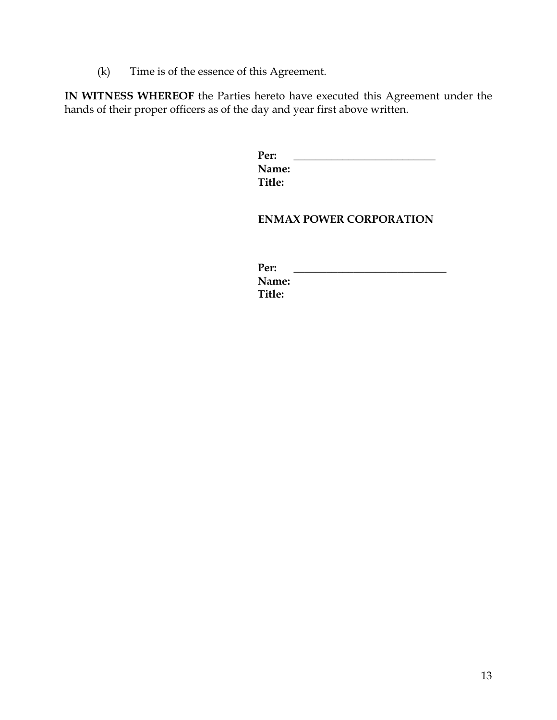(k) Time is of the essence of this Agreement.

**IN WITNESS WHEREOF** the Parties hereto have executed this Agreement under the hands of their proper officers as of the day and year first above written.

| Per:   |  |  |
|--------|--|--|
| Name:  |  |  |
| Title: |  |  |

#### **ENMAX POWER CORPORATION**

| Per:   |  |  |
|--------|--|--|
| Name:  |  |  |
| Title: |  |  |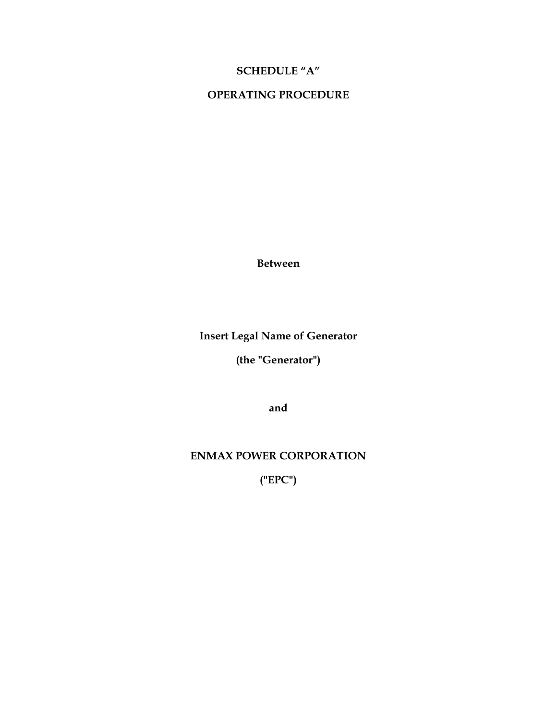# **SCHEDULE "A"**

## **OPERATING PROCEDURE**

**Between** 

**Insert Legal Name of Generator** 

**(the "Generator")** 

**and** 

**ENMAX POWER CORPORATION** 

**("EPC")**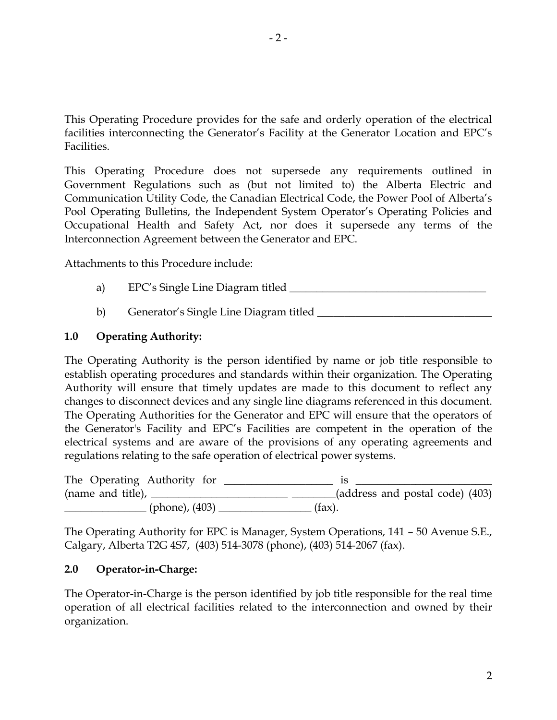This Operating Procedure provides for the safe and orderly operation of the electrical facilities interconnecting the Generator's Facility at the Generator Location and EPC's Facilities.

This Operating Procedure does not supersede any requirements outlined in Government Regulations such as (but not limited to) the Alberta Electric and Communication Utility Code, the Canadian Electrical Code, the Power Pool of Alberta's Pool Operating Bulletins, the Independent System Operator's Operating Policies and Occupational Health and Safety Act, nor does it supersede any terms of the Interconnection Agreement between the Generator and EPC.

Attachments to this Procedure include:

- a) EPC's Single Line Diagram titled \_\_\_\_\_\_\_\_\_\_\_\_\_\_\_\_\_\_\_\_\_\_\_\_\_\_\_\_\_\_\_\_\_\_\_\_
- b) Generator's Single Line Diagram titled \_\_\_\_\_\_\_\_\_\_\_\_\_\_\_\_\_\_\_\_\_\_\_\_\_\_\_\_\_\_\_\_

#### **1.0 Operating Authority:**

The Operating Authority is the person identified by name or job title responsible to establish operating procedures and standards within their organization. The Operating Authority will ensure that timely updates are made to this document to reflect any changes to disconnect devices and any single line diagrams referenced in this document. The Operating Authorities for the Generator and EPC will ensure that the operators of the Generator's Facility and EPC's Facilities are competent in the operation of the electrical systems and are aware of the provisions of any operating agreements and regulations relating to the safe operation of electrical power systems.

The Operating Authority for \_\_\_\_\_\_\_\_\_\_\_\_\_\_\_\_\_\_\_\_ is \_\_\_\_\_\_\_\_\_\_\_\_\_\_\_\_\_\_\_\_\_\_\_\_\_ (name and title),  $\frac{1}{(403)}$ \_\_\_\_\_\_\_\_\_\_\_\_\_\_\_ (phone), (403) \_\_\_\_\_\_\_\_\_\_\_\_\_\_\_\_\_ (fax).

The Operating Authority for EPC is Manager, System Operations, 141 – 50 Avenue S.E., Calgary, Alberta T2G 4S7, (403) 514-3078 (phone), (403) 514-2067 (fax).

#### **2.0 Operator-in-Charge:**

The Operator-in-Charge is the person identified by job title responsible for the real time operation of all electrical facilities related to the interconnection and owned by their organization.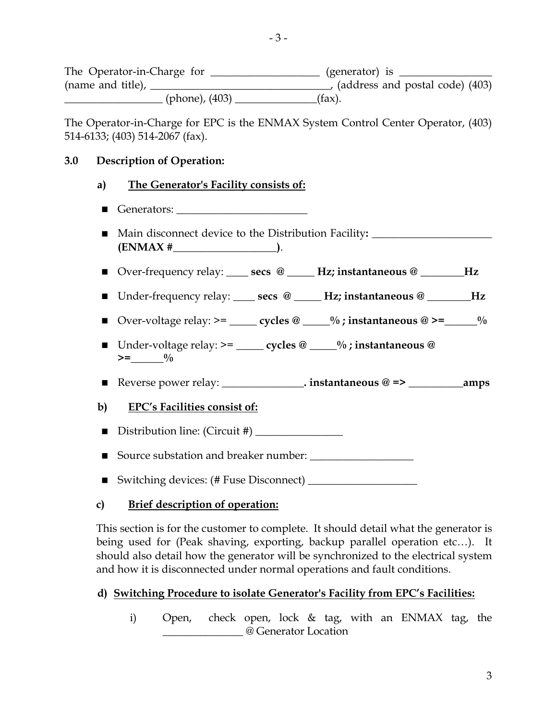The Operator-in-Charge for \_\_\_\_\_\_\_\_\_\_\_\_\_\_\_\_\_\_ (generator) is \_\_\_\_\_\_\_\_\_\_\_\_\_\_\_\_\_\_\_ (name and title), \_\_\_\_\_\_\_\_\_\_\_\_\_\_\_\_\_\_\_\_\_\_\_\_\_\_\_\_\_\_\_\_\_, (address and postal code) (403)  $\frac{1}{2}$  (phone), (403) \_\_\_\_\_\_\_\_\_\_\_\_\_\_(fax).

The Operator-in-Charge for EPC is the ENMAX System Control Center Operator, (403) 514-6133; (403) 514-2067 (fax).

#### **3.0 Description of Operation:**

- **a) The Generator's Facility consists of:**
- Generators:  $\overline{\phantom{a}}$
- Main disconnect device to the Distribution Facility: <u>■ 2000 magnetics</u> and **notation (ENMAX #\_\_\_\_\_\_\_\_\_\_\_\_\_\_\_\_\_\_\_)**.
- Over-frequency relay: \_\_\_\_\_ **secs** @ \_\_\_\_\_ Hz; instantaneous @ \_\_\_\_\_\_\_Hz
- Under-frequency relay: \_\_\_\_ **secs** @ \_\_\_\_\_ Hz; instantaneous @ \_\_\_\_\_\_\_Hz
- **■** Over-voltage relay: >=  $\qquad \qquad \text{cycles} \ @ \qquad \frac{0}{0}$ ; instantaneous  $\textcircled{a}$  >=  $\qquad \frac{0}{0}$
- Under-voltage relay:  $>=$  \_\_\_\_\_\_ **cycles** @ \_\_\_\_\_% ; instantaneous @  $>=\_\_{}$   $\frac{0}{0}$
- Reverse power relay: \_\_\_\_\_\_\_\_\_\_\_\_\_\_\_**. instantaneous @ => \_\_\_\_\_\_\_\_\_\_amps**

## **b) EPC's Facilities consist of:**

- Distribution line: (Circuit #) \_\_\_\_\_\_\_\_\_\_\_\_\_\_\_\_
- Source substation and breaker number:
- Switching devices: (# Fuse Disconnect) \_\_\_\_\_\_\_\_\_\_\_\_\_\_\_\_\_\_\_\_

## **c) Brief description of operation:**

This section is for the customer to complete. It should detail what the generator is being used for (Peak shaving, exporting, backup parallel operation etc…). It should also detail how the generator will be synchronized to the electrical system and how it is disconnected under normal operations and fault conditions.

## **d) Switching Procedure to isolate Generator's Facility from EPC's Facilities:**

i) Open, check open, lock & tag, with an ENMAX tag, the \_\_\_\_\_\_\_\_\_\_\_\_\_\_\_ @ Generator Location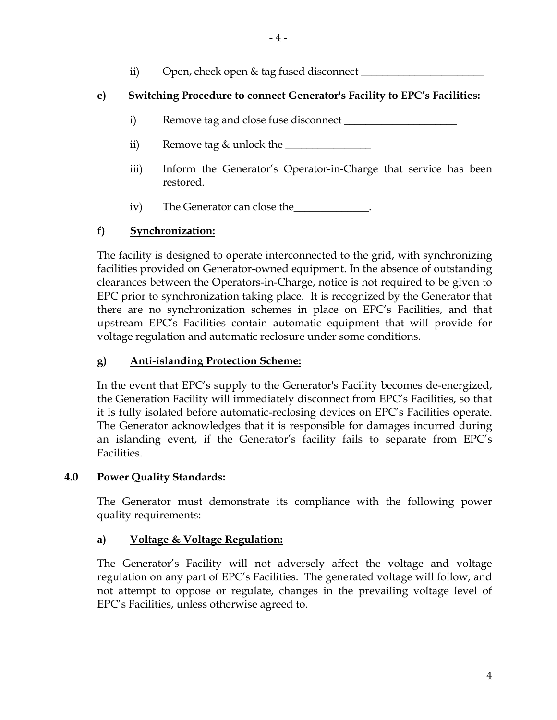ii) Open, check open & tag fused disconnect \_\_\_\_\_\_\_\_\_\_\_\_\_\_\_\_\_\_\_\_\_\_\_

# **e) Switching Procedure to connect Generator's Facility to EPC's Facilities:**

- i) Remove tag and close fuse disconnect <u>equal</u>
- ii) Remove tag & unlock the \_\_\_\_\_\_\_\_\_\_\_\_\_\_\_\_
- iii) Inform the Generator's Operator-in-Charge that service has been restored.
- iv) The Generator can close the

# **f) Synchronization:**

The facility is designed to operate interconnected to the grid, with synchronizing facilities provided on Generator-owned equipment. In the absence of outstanding clearances between the Operators-in-Charge, notice is not required to be given to EPC prior to synchronization taking place. It is recognized by the Generator that there are no synchronization schemes in place on EPC's Facilities, and that upstream EPC's Facilities contain automatic equipment that will provide for voltage regulation and automatic reclosure under some conditions.

# **g) Anti-islanding Protection Scheme:**

In the event that EPC's supply to the Generator's Facility becomes de-energized, the Generation Facility will immediately disconnect from EPC's Facilities, so that it is fully isolated before automatic-reclosing devices on EPC's Facilities operate. The Generator acknowledges that it is responsible for damages incurred during an islanding event, if the Generator's facility fails to separate from EPC's Facilities.

# **4.0 Power Quality Standards:**

The Generator must demonstrate its compliance with the following power quality requirements:

# **a) Voltage & Voltage Regulation:**

The Generator's Facility will not adversely affect the voltage and voltage regulation on any part of EPC's Facilities. The generated voltage will follow, and not attempt to oppose or regulate, changes in the prevailing voltage level of EPC's Facilities, unless otherwise agreed to.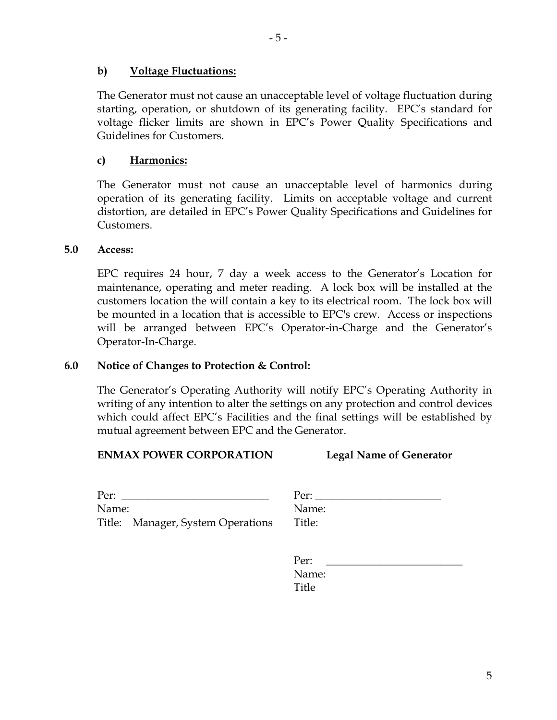#### **b) Voltage Fluctuations:**

The Generator must not cause an unacceptable level of voltage fluctuation during starting, operation, or shutdown of its generating facility. EPC's standard for voltage flicker limits are shown in EPC's Power Quality Specifications and Guidelines for Customers.

#### **c) Harmonics:**

The Generator must not cause an unacceptable level of harmonics during operation of its generating facility. Limits on acceptable voltage and current distortion, are detailed in EPC's Power Quality Specifications and Guidelines for Customers.

#### **5.0 Access:**

EPC requires 24 hour, 7 day a week access to the Generator's Location for maintenance, operating and meter reading. A lock box will be installed at the customers location the will contain a key to its electrical room. The lock box will be mounted in a location that is accessible to EPC's crew. Access or inspections will be arranged between EPC's Operator-in-Charge and the Generator's Operator-In-Charge.

#### **6.0 Notice of Changes to Protection & Control:**

The Generator's Operating Authority will notify EPC's Operating Authority in writing of any intention to alter the settings on any protection and control devices which could affect EPC's Facilities and the final settings will be established by mutual agreement between EPC and the Generator.

#### **ENMAX POWER CORPORATION**

| <b>Legal Name of Generator</b> |
|--------------------------------|
|--------------------------------|

| Per:  |                                   | Per:   |  |
|-------|-----------------------------------|--------|--|
| Name: |                                   | Name:  |  |
|       | Title: Manager, System Operations | Title: |  |

| Per:   |  |  |
|--------|--|--|
| Name:  |  |  |
| Title: |  |  |
|        |  |  |

| Per:  |
|-------|
| Name: |
| Title |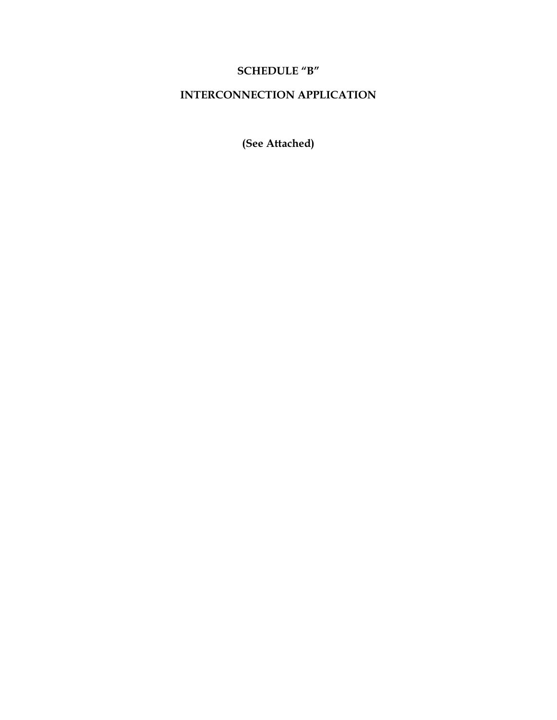# **SCHEDULE "B"**

# **INTERCONNECTION APPLICATION**

**(See Attached)**